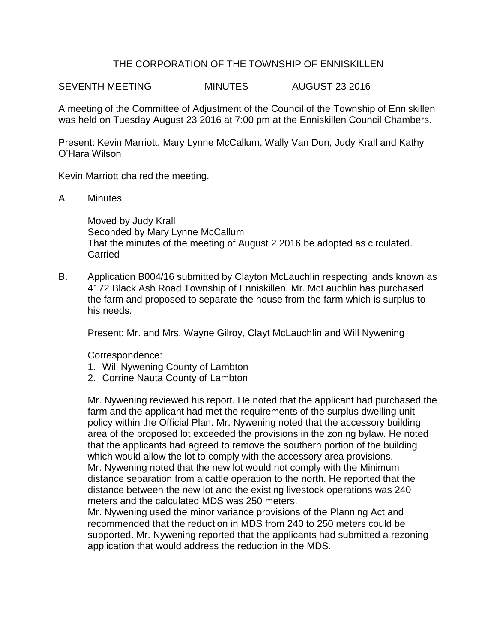## THE CORPORATION OF THE TOWNSHIP OF ENNISKILLEN

SEVENTH MEETING MINUTES AUGUST 23 2016

A meeting of the Committee of Adjustment of the Council of the Township of Enniskillen was held on Tuesday August 23 2016 at 7:00 pm at the Enniskillen Council Chambers.

Present: Kevin Marriott, Mary Lynne McCallum, Wally Van Dun, Judy Krall and Kathy O'Hara Wilson

Kevin Marriott chaired the meeting.

A Minutes

Moved by Judy Krall Seconded by Mary Lynne McCallum That the minutes of the meeting of August 2 2016 be adopted as circulated. Carried

B. Application B004/16 submitted by Clayton McLauchlin respecting lands known as 4172 Black Ash Road Township of Enniskillen. Mr. McLauchlin has purchased the farm and proposed to separate the house from the farm which is surplus to his needs.

Present: Mr. and Mrs. Wayne Gilroy, Clayt McLauchlin and Will Nywening

Correspondence:

- 1. Will Nywening County of Lambton
- 2. Corrine Nauta County of Lambton

Mr. Nywening reviewed his report. He noted that the applicant had purchased the farm and the applicant had met the requirements of the surplus dwelling unit policy within the Official Plan. Mr. Nywening noted that the accessory building area of the proposed lot exceeded the provisions in the zoning bylaw. He noted that the applicants had agreed to remove the southern portion of the building which would allow the lot to comply with the accessory area provisions. Mr. Nywening noted that the new lot would not comply with the Minimum distance separation from a cattle operation to the north. He reported that the distance between the new lot and the existing livestock operations was 240 meters and the calculated MDS was 250 meters.

Mr. Nywening used the minor variance provisions of the Planning Act and recommended that the reduction in MDS from 240 to 250 meters could be supported. Mr. Nywening reported that the applicants had submitted a rezoning application that would address the reduction in the MDS.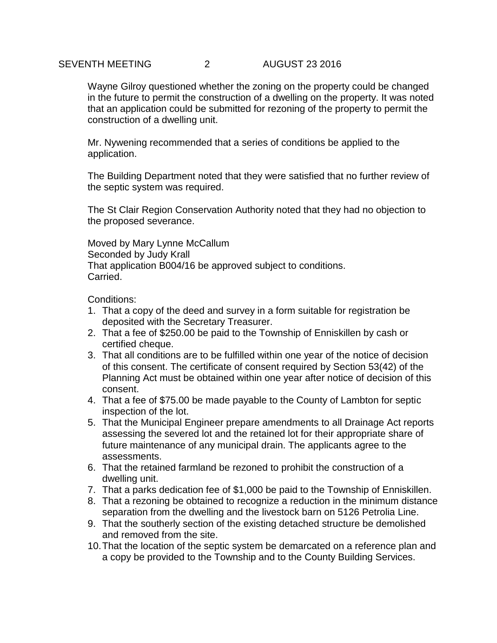## SEVENTH MEETING 2 AUGUST 23 2016

Wayne Gilroy questioned whether the zoning on the property could be changed in the future to permit the construction of a dwelling on the property. It was noted that an application could be submitted for rezoning of the property to permit the construction of a dwelling unit.

Mr. Nywening recommended that a series of conditions be applied to the application.

The Building Department noted that they were satisfied that no further review of the septic system was required.

The St Clair Region Conservation Authority noted that they had no objection to the proposed severance.

Moved by Mary Lynne McCallum Seconded by Judy Krall That application B004/16 be approved subject to conditions. Carried.

Conditions:

- 1. That a copy of the deed and survey in a form suitable for registration be deposited with the Secretary Treasurer.
- 2. That a fee of \$250.00 be paid to the Township of Enniskillen by cash or certified cheque.
- 3. That all conditions are to be fulfilled within one year of the notice of decision of this consent. The certificate of consent required by Section 53(42) of the Planning Act must be obtained within one year after notice of decision of this consent.
- 4. That a fee of \$75.00 be made payable to the County of Lambton for septic inspection of the lot.
- 5. That the Municipal Engineer prepare amendments to all Drainage Act reports assessing the severed lot and the retained lot for their appropriate share of future maintenance of any municipal drain. The applicants agree to the assessments.
- 6. That the retained farmland be rezoned to prohibit the construction of a dwelling unit.
- 7. That a parks dedication fee of \$1,000 be paid to the Township of Enniskillen.
- 8. That a rezoning be obtained to recognize a reduction in the minimum distance separation from the dwelling and the livestock barn on 5126 Petrolia Line.
- 9. That the southerly section of the existing detached structure be demolished and removed from the site.
- 10.That the location of the septic system be demarcated on a reference plan and a copy be provided to the Township and to the County Building Services.